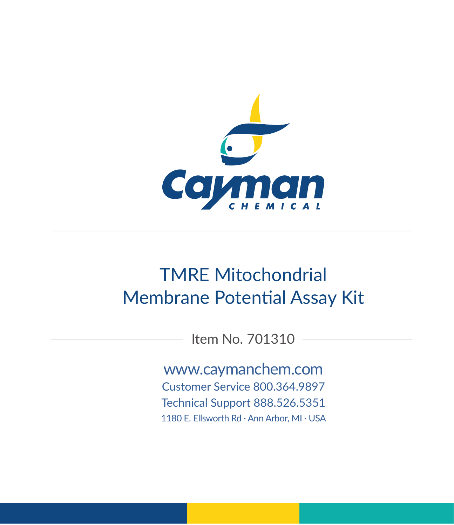

# TMRE Mitochondrial Membrane Potential Assay Kit

Item No. 701310

www.caymanchem.com

Customer Service 800.364.9897 Technical Support 888.526.5351

1180 E. Ellsworth Rd · Ann Arbor, MI · USA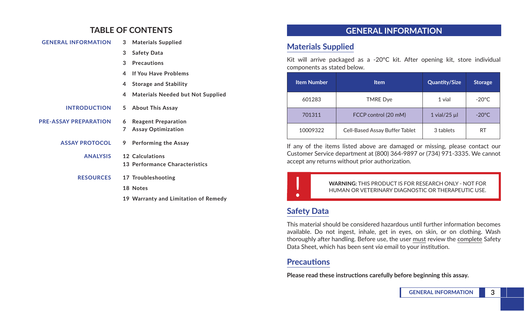### **TABLE OF CONTENTS**

| <b>GENERAL INFORMATION</b>   | 3      | <b>Materials Supplied</b>                               |
|------------------------------|--------|---------------------------------------------------------|
|                              | 3      | <b>Safety Data</b>                                      |
|                              | 3      | <b>Precautions</b>                                      |
|                              | 4      | <b>If You Have Problems</b>                             |
|                              | 4      | <b>Storage and Stability</b>                            |
|                              | 4      | <b>Materials Needed but Not Supplied</b>                |
| <b>INTRODUCTION</b>          | 5      | <b>About This Assay</b>                                 |
| <b>PRE-ASSAY PREPARATION</b> | 6<br>7 | <b>Reagent Preparation</b><br><b>Assay Optimization</b> |
| <b>ASSAY PROTOCOL</b>        | 9      | Performing the Assay                                    |
| <b>ANALYSIS</b>              |        | 12 Calculations<br>13 Performance Characteristics       |
| <b>RESOURCES</b>             |        | 17 Troubleshooting                                      |
|                              |        | 18 Notes                                                |
|                              |        | 19 Warranty and Limitation of Remedy                    |

### **GENERAL INFORMATION**

### **Materials Supplied**

Kit will arrive packaged as a -20°C kit. After opening kit, store individual components as stated below.

| <b>Item Number</b> | <b>Item</b>                    | <b>Quantity/Size</b> | <b>Storage</b>  |
|--------------------|--------------------------------|----------------------|-----------------|
| 601283             | <b>TMRE Dye</b>                | 1 vial               | $-20^{\circ}$ C |
| 701311             | FCCP control (20 mM)           | $1$ vial/25 $\mu$ l  | $-20^{\circ}$ C |
| 10009322           | Cell-Based Assay Buffer Tablet | 3 tablets            | RT              |

If any of the items listed above are damaged or missing, please contact our Customer Service department at (800) 364-9897 or (734) 971-3335. We cannot accept any returns without prior authorization.

> ! **WARNING:** THIS PRODUCT IS FOR RESEARCH ONLY - NOT FOR HUMAN OR VETERINARY DIAGNOSTIC OR THERAPEUTIC USE.

# **Safety Data**

This material should be considered hazardous until further information becomes available. Do not ingest, inhale, get in eyes, on skin, or on clothing. Wash thoroughly after handling. Before use, the user must review the complete Safety Data Sheet, which has been sent *via* email to your institution.

### **Precautions**

**Please read these instructions carefully before beginning this assay.**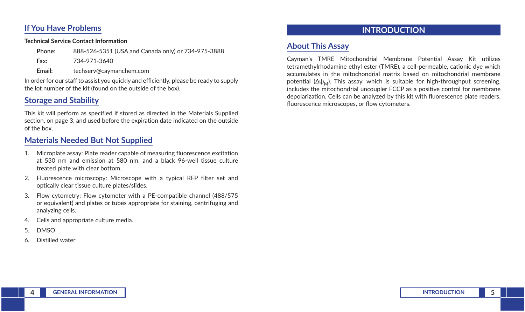### **If You Have Problems**

#### **Technical Service Contact Information**

**Fax:** 734-971-3640

**Email:** techserv@caymanchem.com

In order for our staff to assist you quickly and efficiently, please be ready to supply the lot number of the kit (found on the outside of the box).

# **Storage and Stability**

This kit will perform as specified if stored as directed in the Materials Supplied section, on page 3, and used before the expiration date indicated on the outside of the box.

# **Materials Needed But Not Supplied**

- 1. Microplate assay: Plate reader capable of measuring fluorescence excitation at 530 nm and emission at 580 nm, and a black 96-well tissue culture treated plate with clear bottom.
- 2. Fluorescence microscopy: Microscope with a typical RFP filter set and optically clear tissue culture plates/slides.
- 3. Flow cytometry: Flow cytometer with a PE-compatible channel (488/575 or equivalent) and plates or tubes appropriate for staining, centrifuging and analyzing cells.
- 4. Cells and appropriate culture media.
- 5. DMSO
- 6. Distilled water

# **INTRODUCTION**

# **About This Assay**

Cayman's TMRE Mitochondrial Membrane Potential Assay Kit utilizes tetramethylrhodamine ethyl ester (TMRE), a cell-permeable, cationic dye which accumulates in the mitochondrial matrix based on mitochondrial membrane potential  $(\Delta \psi_M)$ . This assay, which is suitable for high-throughput screening, includes the mitochondrial uncoupler FCCP as a positive control for membrane depolarization. Cells can be analyzed by this kit with fluorescence plate readers, fluorescence microscopes, or flow cytometers.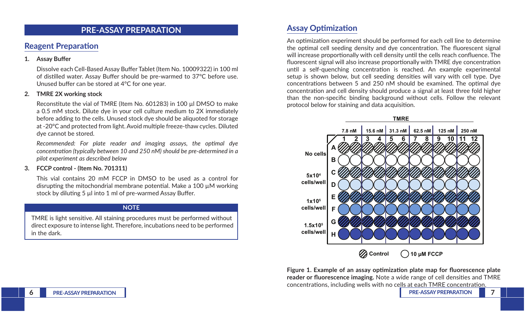### **PRE-ASSAY PREPARATION**

### **Reagent Preparation**

#### **1. Assay Buffer**

Dissolve each Cell-Based Assay Buffer Tablet (Item No. 10009322) in 100 ml of distilled water. Assay Buffer should be pre-warmed to 37°C before use. Unused buffer can be stored at 4°C for one year.

#### **2. TMRE 2X working stock**

Reconstitute the vial of TMRE (Item No. 601283) in 100 µl DMSO to make a 0.5 mM stock. Dilute dye in your cell culture medium to 2X immediately before adding to the cells. Unused stock dye should be aliquoted for storage at -20°C and protected from light. Avoid multiple freeze-thaw cycles. Diluted dye cannot be stored.

*Recommended: For plate reader and imaging assays, the optimal dye concentration (typically between 10 and 250 nM) should be pre-determined in a pilot experiment as described below*

#### **3. FCCP control - (Item No. 701311)**

This vial contains 20 mM FCCP in DMSO to be used as a control for disrupting the mitochondrial membrane potential. Make a 100 µM working stock by diluting 5 µl into 1 ml of pre-warmed Assay Buffer.

#### **NOTE**

TMRE is light sensitive. All staining procedures must be performed without direct exposure to intense light. Therefore, incubations need to be performed in the dark.

### **Assay Optimization**

An optimization experiment should be performed for each cell line to determine the optimal cell seeding density and dye concentration. The fluorescent signal will increase proportionally with cell density until the cells reach confluence. The fluorescent signal will also increase proportionally with TMRE dye concentration until a self-quenching concentration is reached. An example experimental setup is shown below, but cell seeding densities will vary with cell type. Dye concentrations between 5 and 250 nM should be examined. The optimal dye concentration and cell density should produce a signal at least three fold higher than the non-specific binding background without cells. Follow the relevant protocol below for staining and data acquisition.



**Figure 1. Example of an assay optimization plate map for fluorescence plate reader or fluorescence imaging.** Note a wide range of cell densities and TMRE concentrations, including wells with no cells at each TMRE concentration.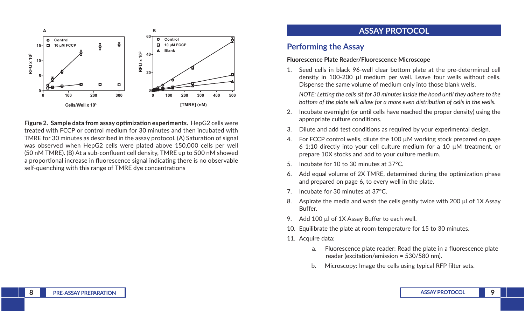

**Figure 2. Sample data from assay optimization experiments.** HepG2 cells were treated with FCCP or control medium for 30 minutes and then incubated with TMRE for 30 minutes as described in the assay protocol. (A) Saturation of signal was observed when HepG2 cells were plated above 150,000 cells per well (50 nM TMRE). (B) At a sub-confluent cell density, TMRE up to 500 nM showed a proportional increase in fluorescence signal indicating there is no observable self-quenching with this range of TMRE dye concentrations

### **ASSAY PROTOCOL**

### **Performing the Assay**

#### **Fluorescence Plate Reader/Fluorescence Microscope**

1. Seed cells in black 96-well clear bottom plate at the pre-determined cell density in 100-200 µl medium per well. Leave four wells without cells. Dispense the same volume of medium only into those blank wells.

*NOTE: Letting the cells sit for 30 minutes inside the hood until they adhere to the bottom of the plate will allow for a more even distribution of cells in the wells.*

- 2. Incubate overnight (or until cells have reached the proper density) using the appropriate culture conditions.
- 3. Dilute and add test conditions as required by your experimental design.
- 4. For FCCP control wells, dilute the 100  $\mu$ M working stock prepared on page 6 1:10 directly into your cell culture medium for a 10 µM treatment, or prepare 10X stocks and add to your culture medium.
- 5. Incubate for 10 to 30 minutes at 37°C.
- 6. Add equal volume of 2X TMRE, determined during the optimization phase and prepared on page 6, to every well in the plate.
- 7. Incubate for 30 minutes at 37°C.
- 8. Aspirate the media and wash the cells gently twice with 200 µl of 1X Assay Buffer.
- 9. Add 100 µl of 1X Assay Buffer to each well.
- 10. Equilibrate the plate at room temperature for 15 to 30 minutes.
- 11. Acquire data:
	- a. Fluorescence plate reader: Read the plate in a fluorescence plate reader (excitation/emission = 530/580 nm).
	- b. Microscopy: Image the cells using typical RFP filter sets.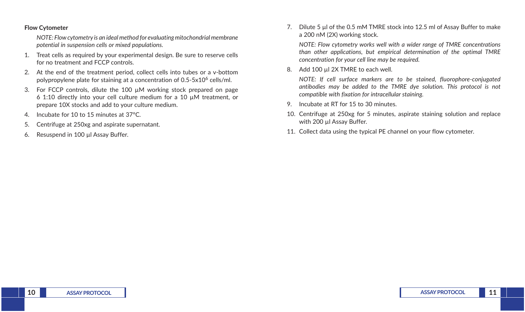#### **Flow Cytometer**

*NOTE: Flow cytometry is an ideal method for evaluating mitochondrial membrane potential in suspension cells or mixed populations.*

- 1. Treat cells as required by your experimental design. Be sure to reserve cells for no treatment and FCCP controls.
- 2. At the end of the treatment period, collect cells into tubes or a v-bottom polypropylene plate for staining at a concentration of  $0.5-5x10^6$  cells/ml.
- 3. For FCCP controls, dilute the 100  $\mu$ M working stock prepared on page 6 1:10 directly into your cell culture medium for a 10 µM treatment, or prepare 10X stocks and add to your culture medium.
- 4. Incubate for 10 to 15 minutes at 37°C.
- 5. Centrifuge at 250xg and aspirate supernatant.
- 6. Resuspend in 100 µl Assay Buffer.

7. Dilute 5 µl of the 0.5 mM TMRE stock into 12.5 ml of Assay Buffer to make a 200 nM (2X) working stock.

*NOTE: Flow cytometry works well with a wider range of TMRE concentrations than other applications, but empirical determination of the optimal TMRE concentration for your cell line may be required.*

8. Add 100 µl 2X TMRE to each well.

*NOTE: If cell surface markers are to be stained, fluorophore-conjugated antibodies may be added to the TMRE dye solution. This protocol is not compatible with fixation for intracellular staining.*

- 9. Incubate at RT for 15 to 30 minutes.
- 10. Centrifuge at 250xg for 5 minutes, aspirate staining solution and replace with 200 ul Assay Buffer.
- 11. Collect data using the typical PE channel on your flow cytometer.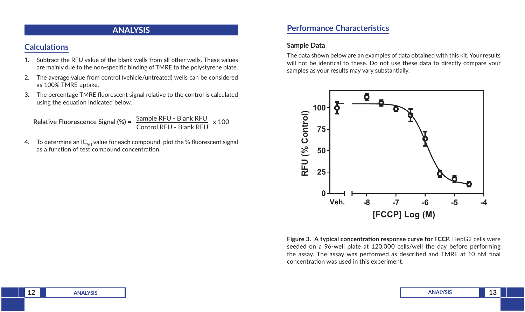### **ANALYSIS**

### **Calculations**

- 1. Subtract the RFU value of the blank wells from all other wells. These values are mainly due to the non-specific binding of TMRE to the polystyrene plate.
- 2. The average value from control (vehicle/untreated) wells can be considered as 100% TMRE uptake.
- 3. The percentage TMRE fluorescent signal relative to the control is calculated using the equation indicated below.

Relative Fluorescence Signal (%) =  $\frac{\text{Sample RFU - Blank RFU}}{\text{Control RFU - Blank RFU}} \times 100$ 

4. To determine an  $IC_{50}$  value for each compound, plot the % fluorescent signal as a function of test compound concentration.

### **Performance Characteristics**

#### **Sample Data**

The data shown below are an examples of data obtained with this kit. Your results will not be identical to these. Do not use these data to directly compare your samples as your results may vary substantially.



Figure 3. A typical concentration response curve for FCCP. HepG2 cells were seeded on a 96-well plate at 120,000 cells/well the day before performing the assay. The assay was performed as described and TMRE at 10 nM final concentration was used in this experiment.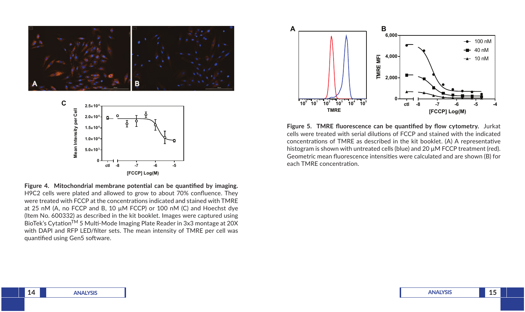

**0 -8 -7 -6 -5 [FCCP] Log(M) ctl Figure 4. Mitochondrial membrane potential can be quantified by imaging.**  H9C2 cells were plated and allowed to grow to about 70% confluence. They were treated with FCCP at the concentrations indicated and stained with TMRE at 25 nM (A, no FCCP and B, 10 µM FCCP) or 100 nM (C) and Hoechst dye (Item No. 600332) as described in the kit booklet. Images were captured using BioTek's Cytation<sup>TM</sup> 5 Multi-Mode Imaging Plate Reader in 3x3 montage at 20X with DAPI and RFP LED/filter sets. The mean intensity of TMRE per cell was



**Figure 5. TMRE fluorescence can be quantified by flow cytometry.** Jurkat cells were treated with serial dilutions of FCCP and stained with the indicated concentrations of TMRE as described in the kit booklet. (A) A representative histogram is shown with untreated cells (blue) and 20  $\mu$ M FCCP treatment (red). Geometric mean fluorescence intensities were calculated and are shown (B) for each TMRE concentration.

quantified using Gen5 software.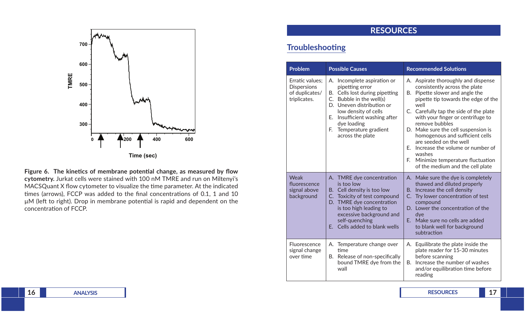

**Figure 6. The kinetics of membrane potential change, as measured by flow cytometry.** Jurkat cells were stained with 100 nM TMRE and run on Miltenyi's MACSQuant X flow cytometer to visualize the time parameter. At the indicated times (arrows), FCCP was added to the final concentrations of 0.1, 1 and 10 µM (left to right). Drop in membrane potential is rapid and dependent on the concentration of FCCP.

# **RESOURCES**

# **Troubleshooting**

| <b>Problem</b>                                                          | <b>Possible Causes</b>                                                                                                                                                                                                                                              | <b>Recommended Solutions</b>                                                                                                                                                                                                                                                                                                                                                                                                                                                               |  |  |
|-------------------------------------------------------------------------|---------------------------------------------------------------------------------------------------------------------------------------------------------------------------------------------------------------------------------------------------------------------|--------------------------------------------------------------------------------------------------------------------------------------------------------------------------------------------------------------------------------------------------------------------------------------------------------------------------------------------------------------------------------------------------------------------------------------------------------------------------------------------|--|--|
| Erratic values:<br><b>Dispersions</b><br>of duplicates/<br>triplicates. | A. Incomplete aspiration or<br>pipetting error<br>B. Cells lost during pipetting<br>C. Bubble in the well(s)<br>D. Uneven distribution or<br>low density of cells<br>E. Insufficient washing after<br>dye loading<br>E.<br>Temperature gradient<br>across the plate | A. Aspirate thoroughly and dispense<br>consistently across the plate<br>B. Pipette slower and angle the<br>pipette tip towards the edge of the<br>well<br>C. Carefully tap the side of the plate<br>with your finger or centrifuge to<br>remove bubbles<br>D. Make sure the cell suspension is<br>homogenous and sufficient cells<br>are seeded on the well<br>Increase the volume or number of<br>F.<br>washes<br>F. Minimize temperature fluctuation<br>of the medium and the cell plate |  |  |
| Weak<br>fluorescence<br>signal above<br>background                      | A. TMRE dye concentration<br>is too low<br>B. Cell density is too low<br>C. Toxicity of test compound<br>D. TMRE dye concentration<br>is too high leading to<br>excessive background and<br>self-quenching<br>E. Cells added to blank wells                         | A. Make sure the dye is completely<br>thawed and diluted properly<br>B. Increase the cell density<br>C. Try lower concentration of test<br>compound<br>D. Lower the concentration of the<br>dye<br>E. Make sure no cells are added<br>to blank well for background<br>subtraction                                                                                                                                                                                                          |  |  |
| Fluorescence<br>signal change<br>over time                              | A. Temperature change over<br>time<br>B. Release of non-specifically<br>bound TMRE dye from the<br>wall                                                                                                                                                             | A. Equilibrate the plate inside the<br>plate reader for 15-30 minutes<br>before scanning<br>Increase the number of washes<br>B.<br>and/or equilibration time before<br>reading                                                                                                                                                                                                                                                                                                             |  |  |